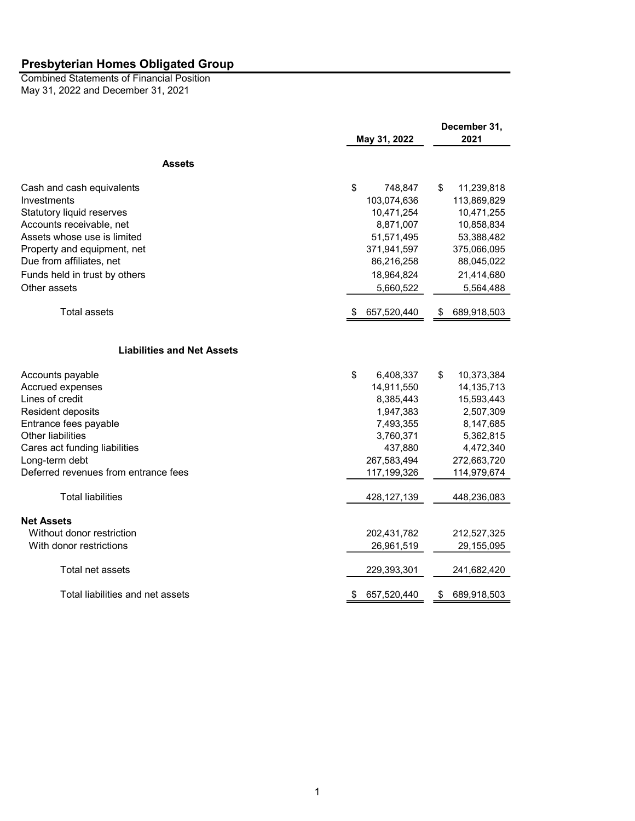May 31, 2022 and December 31, 2021 Combined Statements of Financial Position

|                                      |                   | December 31,      |  |
|--------------------------------------|-------------------|-------------------|--|
|                                      | May 31, 2022      | 2021              |  |
| <b>Assets</b>                        |                   |                   |  |
| Cash and cash equivalents            | \$<br>748,847     | \$<br>11,239,818  |  |
| Investments                          | 103,074,636       | 113,869,829       |  |
| Statutory liquid reserves            | 10,471,254        | 10,471,255        |  |
| Accounts receivable, net             | 8,871,007         | 10,858,834        |  |
| Assets whose use is limited          | 51,571,495        | 53,388,482        |  |
| Property and equipment, net          | 371,941,597       | 375,066,095       |  |
| Due from affiliates, net             | 86,216,258        | 88,045,022        |  |
| Funds held in trust by others        | 18,964,824        | 21,414,680        |  |
| Other assets                         | 5,660,522         | 5,564,488         |  |
| <b>Total assets</b>                  | 657,520,440       | 689,918,503<br>S. |  |
| <b>Liabilities and Net Assets</b>    |                   |                   |  |
| Accounts payable                     | \$<br>6,408,337   | \$<br>10,373,384  |  |
| Accrued expenses                     | 14,911,550        | 14, 135, 713      |  |
| Lines of credit                      | 8,385,443         | 15,593,443        |  |
| Resident deposits                    | 1,947,383         | 2,507,309         |  |
| Entrance fees payable                | 7,493,355         | 8,147,685         |  |
| <b>Other liabilities</b>             | 3,760,371         | 5,362,815         |  |
| Cares act funding liabilities        | 437,880           | 4,472,340         |  |
| Long-term debt                       | 267,583,494       | 272,663,720       |  |
| Deferred revenues from entrance fees | 117,199,326       | 114,979,674       |  |
| <b>Total liabilities</b>             | 428, 127, 139     | 448,236,083       |  |
| <b>Net Assets</b>                    |                   |                   |  |
| Without donor restriction            | 202,431,782       | 212,527,325       |  |
| With donor restrictions              | 26,961,519        | 29,155,095        |  |
| Total net assets                     | 229,393,301       | 241,682,420       |  |
| Total liabilities and net assets     | 657,520,440<br>\$ | 689,918,503<br>\$ |  |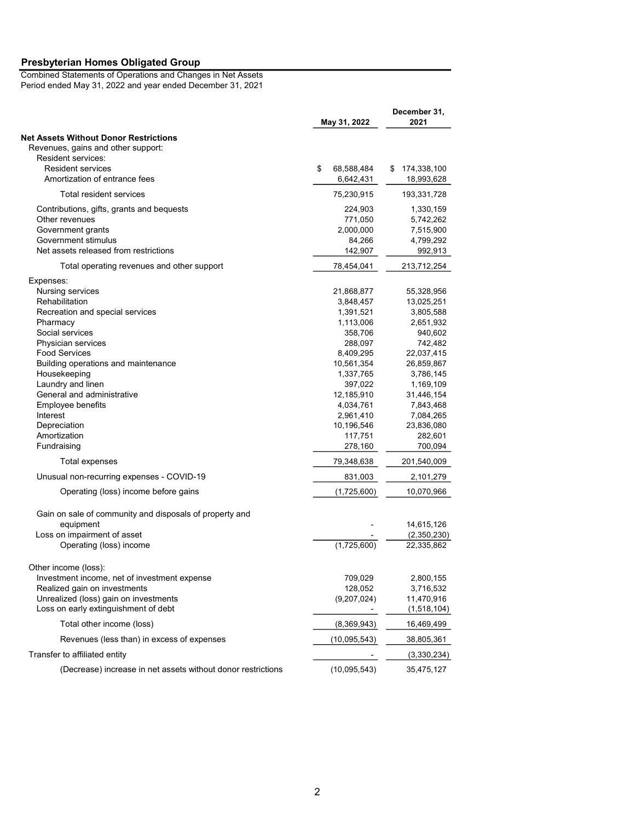Combined Statements of Operations and Changes in Net Assets Period ended May 31, 2022 and year ended December 31, 2021

|                                                                                    | May 31, 2022                  | December 31,<br>2021        |  |
|------------------------------------------------------------------------------------|-------------------------------|-----------------------------|--|
| <b>Net Assets Without Donor Restrictions</b><br>Revenues, gains and other support: |                               |                             |  |
| Resident services:<br><b>Resident services</b><br>Amortization of entrance fees    | \$<br>68,588,484<br>6,642,431 | \$174,338,100<br>18,993,628 |  |
| Total resident services                                                            | 75,230,915                    | 193,331,728                 |  |
| Contributions, gifts, grants and bequests                                          | 224,903                       | 1,330,159                   |  |
| Other revenues                                                                     | 771,050                       | 5,742,262                   |  |
| Government grants                                                                  | 2,000,000                     | 7,515,900                   |  |
| Government stimulus<br>Net assets released from restrictions                       | 84,266<br>142,907             | 4,799,292<br>992,913        |  |
| Total operating revenues and other support                                         | 78,454,041                    | 213,712,254                 |  |
| Expenses:                                                                          |                               |                             |  |
| Nursing services                                                                   | 21,868,877                    | 55,328,956                  |  |
| Rehabilitation                                                                     | 3,848,457                     | 13,025,251                  |  |
| Recreation and special services                                                    | 1,391,521                     | 3,805,588                   |  |
| Pharmacy                                                                           | 1,113,006                     | 2,651,932                   |  |
| Social services                                                                    | 358,706                       | 940,602                     |  |
| Physician services                                                                 | 288,097                       | 742,482                     |  |
| <b>Food Services</b>                                                               | 8,409,295                     | 22,037,415                  |  |
| Building operations and maintenance                                                | 10,561,354                    | 26,859,867                  |  |
| Housekeeping                                                                       | 1,337,765                     | 3,786,145                   |  |
| Laundry and linen                                                                  | 397,022                       | 1,169,109                   |  |
| General and administrative                                                         | 12,185,910                    | 31,446,154                  |  |
| Employee benefits                                                                  | 4,034,761                     | 7,843,468                   |  |
| Interest                                                                           | 2,961,410                     | 7,084,265                   |  |
| Depreciation                                                                       | 10,196,546                    | 23,836,080                  |  |
| Amortization                                                                       | 117,751                       | 282,601                     |  |
| Fundraising                                                                        | 278,160                       | 700,094                     |  |
| Total expenses                                                                     | 79,348,638                    | 201,540,009                 |  |
| Unusual non-recurring expenses - COVID-19                                          | 831,003                       | 2,101,279                   |  |
| Operating (loss) income before gains                                               | (1,725,600)                   | 10,070,966                  |  |
| Gain on sale of community and disposals of property and                            |                               |                             |  |
| equipment                                                                          |                               | 14,615,126                  |  |
| Loss on impairment of asset                                                        |                               | (2,350,230)                 |  |
| Operating (loss) income                                                            | (1,725,600)                   | 22,335,862                  |  |
| Other income (loss):                                                               |                               |                             |  |
| Investment income, net of investment expense                                       | 709,029                       | 2,800,155                   |  |
| Realized gain on investments                                                       | 128,052                       | 3,716,532                   |  |
| Unrealized (loss) gain on investments                                              | (9,207,024)                   | 11,470,916                  |  |
| Loss on early extinguishment of debt                                               |                               | (1,518,104)                 |  |
| Total other income (loss)                                                          | (8,369,943)                   | 16,469,499                  |  |
| Revenues (less than) in excess of expenses                                         | (10,095,543)                  | 38,805,361                  |  |
| Transfer to affiliated entity                                                      |                               | (3,330,234)                 |  |
| (Decrease) increase in net assets without donor restrictions                       | (10,095,543)                  | 35,475,127                  |  |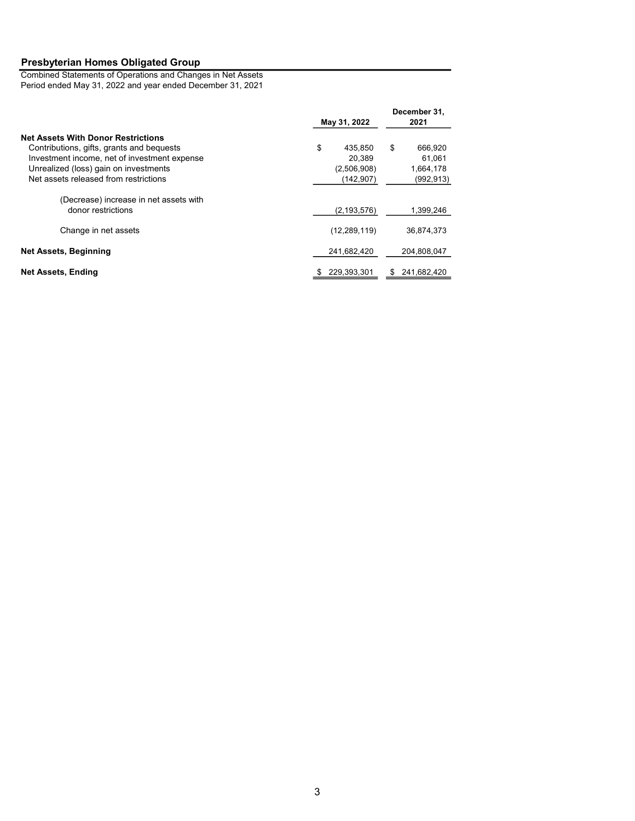Combined Statements of Operations and Changes in Net Assets Period ended May 31, 2022 and year ended December 31, 2021

|                                                              | May 31, 2022      | December 31,<br>2021 |  |
|--------------------------------------------------------------|-------------------|----------------------|--|
| <b>Net Assets With Donor Restrictions</b>                    |                   |                      |  |
| Contributions, gifts, grants and bequests                    | \$<br>435,850     | \$<br>666,920        |  |
| Investment income, net of investment expense                 | 20.389            | 61,061               |  |
| Unrealized (loss) gain on investments                        | (2,506,908)       | 1,664,178            |  |
| Net assets released from restrictions                        | (142,907)         | (992, 913)           |  |
| (Decrease) increase in net assets with<br>donor restrictions | (2, 193, 576)     | 1,399,246            |  |
|                                                              |                   |                      |  |
| Change in net assets                                         | (12, 289, 119)    | 36,874,373           |  |
| <b>Net Assets, Beginning</b>                                 | 241,682,420       | 204,808,047          |  |
| Net Assets, Ending                                           | 229.393.301<br>\$ | 241.682.420<br>S     |  |